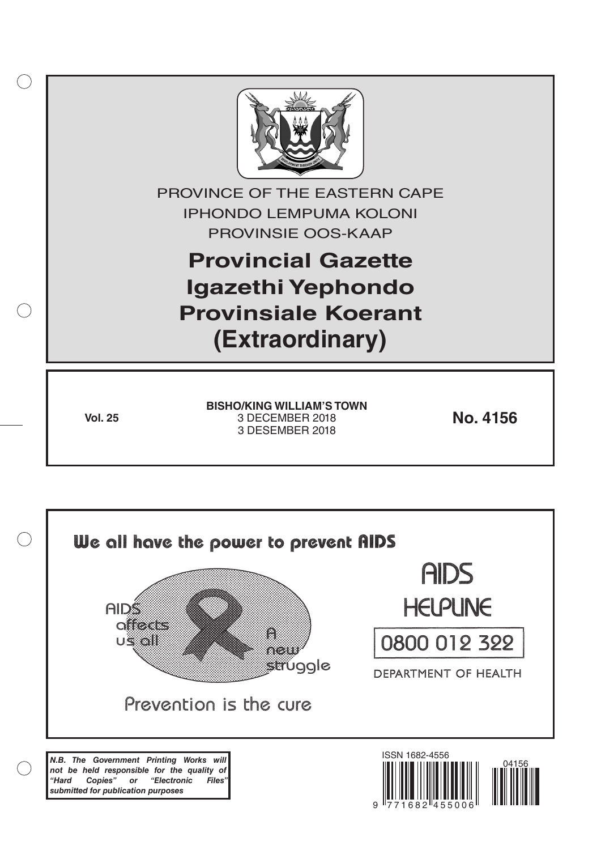

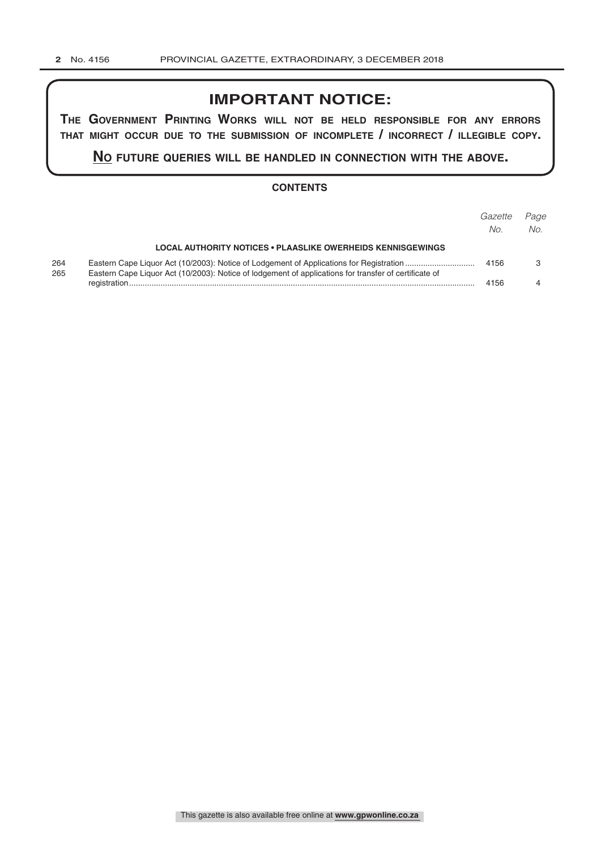# **IMPORTANT NOTICE:**

**The GovernmenT PrinTinG Works Will noT be held resPonsible for any errors ThaT miGhT occur due To The submission of incomPleTe / incorrecT / illeGible coPy.**

**no fuTure queries Will be handled in connecTion WiTh The above.**

## **CONTENTS**

|            |                                                                                                       | Gazette<br>No. | Page<br>No. |
|------------|-------------------------------------------------------------------------------------------------------|----------------|-------------|
|            | <b>LOCAL AUTHORITY NOTICES • PLAASLIKE OWERHEIDS KENNISGEWINGS</b>                                    |                |             |
| 264<br>265 | Eastern Cape Liquor Act (10/2003): Notice of lodgement of applications for transfer of certificate of | 4156           |             |
|            |                                                                                                       | 4156           |             |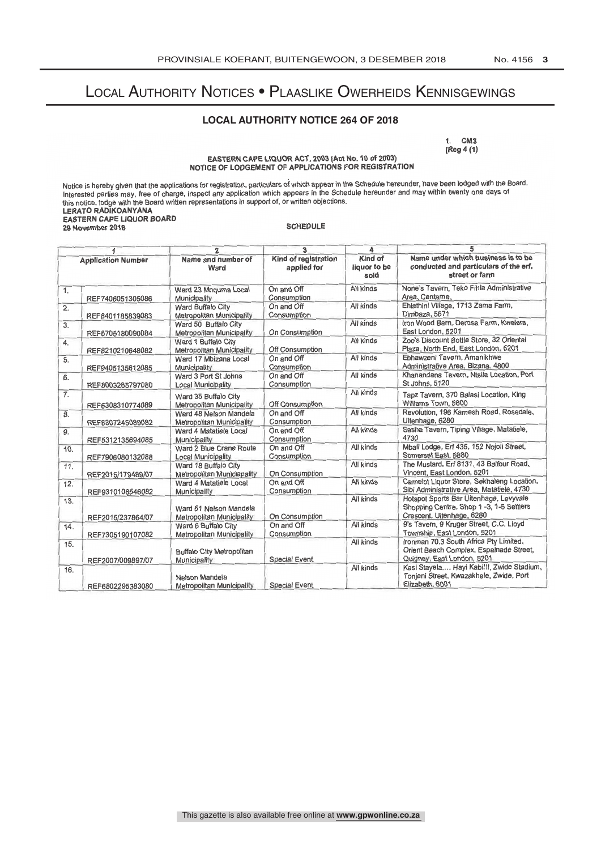# Local Authority Notices • Plaaslike Owerheids Kennisgewings

#### **LOCAL AUTHORITY NOTICE 264 OF 2018**

1. CM3 [Reg 4 (1)

# EASTERN CAPE LIQUOR ACT, 2003 (Act No. 10 of 2003)

NOTICE OF LODGEMENT OF APPLICATIONS FOR REGISTRATION<br>Notice is hereby given that the applications for registration, particulars of which appear in the Schedule hereunder, have been lodged with the Board. nouce is nereby given that the applications for registration, particulars of which appear in the Schedule hereunder, have been lodged with the B<br>Interested parties may, free of charge, inspect any application which appears EASTERN CAPE LIQUOR BOARD 29 November 2018

**SCHEDULE** 

| 1                         |                   | $\overline{2}$                                             | $\overline{\mathbf{3}}$             | 4                               | 5                                                                                                               |  |
|---------------------------|-------------------|------------------------------------------------------------|-------------------------------------|---------------------------------|-----------------------------------------------------------------------------------------------------------------|--|
| <b>Application Number</b> |                   | Name and number of<br>Ward                                 | Kind of registration<br>applied for | Kind of<br>liquor to be<br>sold | Name under which business is to be<br>conducted and particulars of the erf,<br>street or farm                   |  |
| 1.                        | REF7406051305086  | Ward 23 Mnguma Local<br>Municipality                       | On and Off<br>Consumption           | All kinds                       | None's Tavern, Teko Fihla Administrative<br>Area, Centame,                                                      |  |
| 2.                        | REF8401185839083  | Ward Buffalo City<br>Metropolitan Municipality             | On and Off<br><b>Consumption</b>    | All kinds                       | Ehlathini Village, 1713 Zama Farm,<br>Dimbaza, 5671                                                             |  |
| 3.                        | REF6705180090084  | Ward 50 Buffalo City<br>Metropolitan Municipality          | On Consumption                      | All kinds                       | Iron Wood Barn, Derosa Farm, Kwelera,<br>East London, 5201                                                      |  |
| 4.                        | REF8210210648082  | Ward 1 Buffalo City<br>Metropolitan Municipality           | Off Consumption                     | All kinds                       | Zoo's Discount Bottle Store, 32 Oriental<br>Plaza, North End, East London, 5201                                 |  |
| 5.                        | REF9405135612085  | Ward 17 Mbizana Local<br>Municipality                      | On and Off<br>Consumption           | All kinds                       | Ebhawzeni Tavern, Amanikhwe<br>Administrative Area, Bizana, 4800                                                |  |
| 6.                        | REF8003265797080  | Ward 3 Port St Johns<br><b>Local Municipality</b>          | On and Off<br>Consumption           | All kinds                       | Khanandana Tavern, Ntsila Location, Port<br>St Johns, 5120                                                      |  |
| 7.                        | REF6308310774089  | Ward 35 Buffalo City<br><b>Metropolitan Municipality</b>   | Off Consumption                     | All kinds                       | Tapz Tavern, 370 Balasi Location, King<br>Williams Town, 5600                                                   |  |
| 8.                        | REF8307245089082  | Ward 48 Nelson Mandela<br><b>Metropolitan Municipality</b> | On and Off<br>Consumption           | All kinds                       | Revolution, 196 Kamesh Road, Rosedale,<br>Uitenhage, 6280                                                       |  |
| 9.                        | REF5312135694085  | Ward 4 Matatiele Local<br>Municipality                     | On and Off<br>Consumption           | All kinds                       | Sasha Tavern, Tiping Village, Matatiele,<br>4730                                                                |  |
| 10.                       | REF7906080132088  | Ward 2 Blue Crane Route<br><b>Local Municipality</b>       | On and Off<br>Consumption           | All kinds                       | Mbali Lodge, Erf 435, 152 Nojoli Street,<br>Somerset East, 5880                                                 |  |
| 11.                       | REF2015/179489/07 | Ward 18 Buffalo City<br>Metropolitan Municiapality         | On Consumption                      | All kinds                       | The Mustard, Erf 8131, 43 Balfour Road,<br>Vincent, East London, 5201                                           |  |
| 12.                       | REF9310106546082  | Ward 4 Matatiele Local<br>Municipality                     | On and Off<br>Consumption           | All kinds                       | Camelot Liquor Store, Sekhaleng Location,<br>Sibi Administrative Area, Matatiele, 4730                          |  |
| 13.                       | REF2015/237864/07 | Ward 51 Nelson Mandela<br>Metropolitan Municipality        | On Consumption                      | All kinds                       | Hotspot Sports Bar Uitenhage, Levyvale<br>Shopping Centre, Shop 1 -3, 1-5 Settlers<br>Crescent, Uitenhage, 6280 |  |
| 14.                       | REF7305190107082  | Ward 6 Buffalo City<br><b>Metropolitan Municipality</b>    | On and Off<br>Consumption           | All kinds                       | 9's Tavem, 9 Kruger Street, C.C. Lloyd<br>Township, East London, 5201                                           |  |
| 15.                       | REF2007/009897/07 | <b>Buffalo City Metropolitan</b><br>Municipality           | <b>Special Event</b>                | All kinds                       | Ironman 70.3 South Africa Pty Limited,<br>Orient Beach Complex, Espalnade Street,<br>Quigney, East London, 5201 |  |
| 16.                       | REF6802295383080  | Nelson Mandela<br><b>Metropolitan Municipality</b>         | <b>Special Event</b>                | All kinds                       | Kasi Stayela Hayi Kabi!!!, Zwide Stadium,<br>Tonieni Street, Kwazakhele, Zwide, Port<br>Elizabeth, 6001         |  |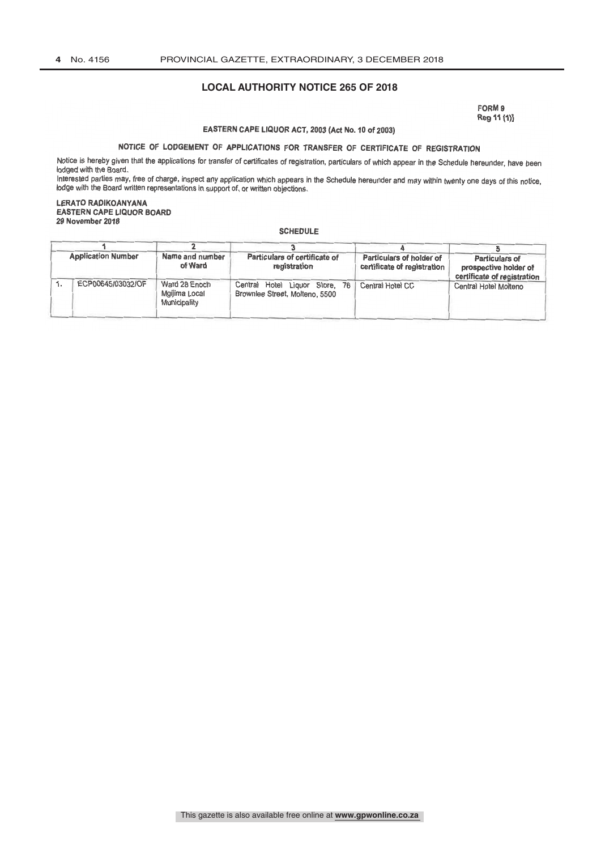## **LOCAL AUTHORITY NOTICE 265 OF 2018**

FORM 9 Reg 11 (1)]

# EASTERN CAPE LIQUOR ACT, 2003 (Act No. 10 of 2003)<br>NOTICE OF LODGEMENT OF APPLICATIONS FOR TRANSFER OF CERTIFICATE OF REGISTRATION

Notice is hereby given that the applications for transfer of certificates of registration, particulars of which appear in the Schedule hereunder, have applications for transfer of certifications particulars of milion appear in the Schedule hereunder, have been<br>Applied inspect any application which appears in the Schedule hereunder and may within twenty one days of this p lodged with the Board.

merested parties may, free of charge, inspect any application which appears in the Schedule hereunder and may within twenty one days of this notice,<br>lodge with the Board written representations in support of, or written ob

#### LERATO RADIKOANYANA EASTERN CAPE LIQUOR BOARD 29 November 2018

**SCHEDULE** 

| <b>Application Number</b> | Name and number<br>Particulars of certificate of<br>of Ward<br>registration |                                                                     | Particulars of holder of<br>certificate of registration | <b>Particulars of</b><br>prospective holder of<br>certificate of registration |  |
|---------------------------|-----------------------------------------------------------------------------|---------------------------------------------------------------------|---------------------------------------------------------|-------------------------------------------------------------------------------|--|
| ECP00645/03032/OF         | Ward 28 Enoch<br>Mgijima Local<br>Municipality                              | Central Hotel<br>Liquor Store, 76<br>Brownlee Street, Molteno, 5500 | Central Hotel CC                                        | Central Hotel Molteno                                                         |  |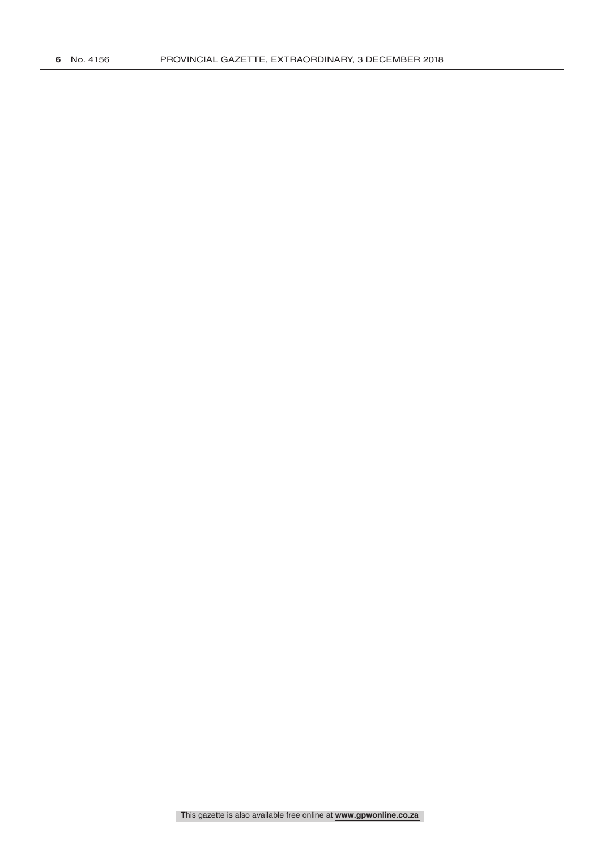This gazette is also available free online at **www.gpwonline.co.za**